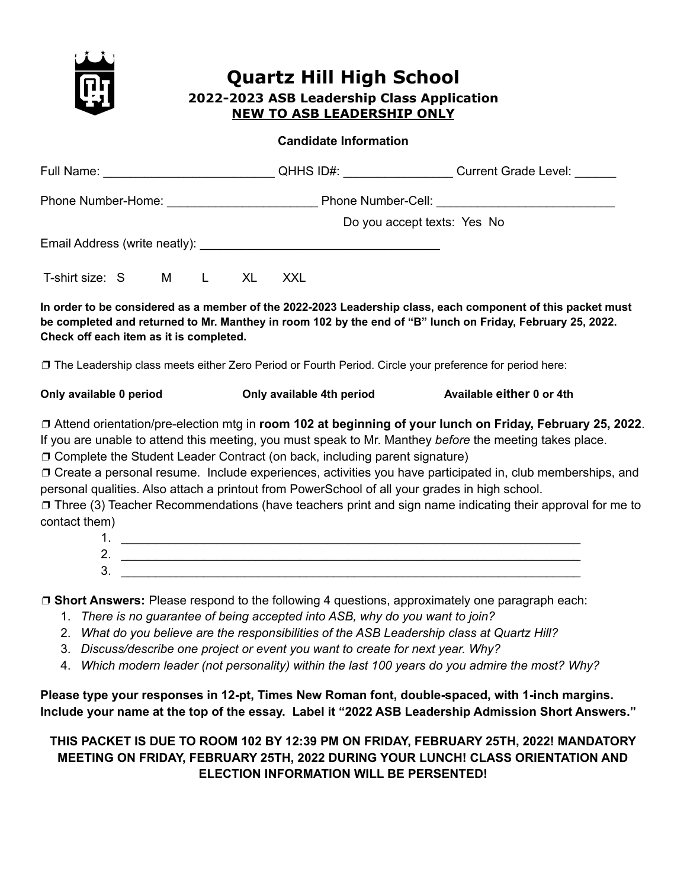

# **Quartz Hill High School**

#### **2022-2023 ASB Leadership Class Application NEW TO ASB LEADERSHIP ONLY**

#### **Candidate Information**

|                                         |                                                                                                                                                                                                                                                                                      | Do you accept texts: Yes No                                                                                                                                                                                               |
|-----------------------------------------|--------------------------------------------------------------------------------------------------------------------------------------------------------------------------------------------------------------------------------------------------------------------------------------|---------------------------------------------------------------------------------------------------------------------------------------------------------------------------------------------------------------------------|
|                                         | Email Address (write neatly): Notified a material control of the state of the state of the state of the state of the state of the state of the state of the state of the state of the state of the state of the state of the s                                                       |                                                                                                                                                                                                                           |
| T-shirt size: S M L XL XXL              |                                                                                                                                                                                                                                                                                      |                                                                                                                                                                                                                           |
| Check off each item as it is completed. |                                                                                                                                                                                                                                                                                      | In order to be considered as a member of the 2022-2023 Leadership class, each component of this packet must<br>be completed and returned to Mr. Manthey in room 102 by the end of "B" lunch on Friday, February 25, 2022. |
|                                         | □ The Leadership class meets either Zero Period or Fourth Period. Circle your preference for period here:                                                                                                                                                                            |                                                                                                                                                                                                                           |
| Only available 0 period                 | Only available 4th period                                                                                                                                                                                                                                                            | Available either 0 or 4th                                                                                                                                                                                                 |
|                                         | O Complete the Student Leader Contract (on back, including parent signature)                                                                                                                                                                                                         | □ Attend orientation/pre-election mtg in room 102 at beginning of your lunch on Friday, February 25, 2022.<br>If you are unable to attend this meeting, you must speak to Mr. Manthey before the meeting takes place.     |
|                                         | personal qualities. Also attach a printout from PowerSchool of all your grades in high school.                                                                                                                                                                                       | O Create a personal resume. Include experiences, activities you have participated in, club memberships, and                                                                                                               |
| contact them)                           |                                                                                                                                                                                                                                                                                      | □ Three (3) Teacher Recommendations (have teachers print and sign name indicating their approval for me to                                                                                                                |
|                                         | $3.$ $\overline{\phantom{a}}$                                                                                                                                                                                                                                                        |                                                                                                                                                                                                                           |
|                                         | $\Box$ Short Answers: Please respond to the following 4 questions, approximately one paragraph each:<br>1. There is no guarantee of being accepted into ASB, why do you want to join?<br>2. What do you believe are the responsibilities of the ASB Leadership class at Quartz Hill? |                                                                                                                                                                                                                           |

- 3. *Discuss/describe one project or event you want to create for next year. Why?*
- 4. *Which modern leader (not personality) within the last 100 years do you admire the most? Why?*

**Please type your responses in 12-pt, Times New Roman font, double-spaced, with 1-inch margins. Include your name at the top of the essay. Label it "2022 ASB Leadership Admission Short Answers."**

**THIS PACKET IS DUE TO ROOM 102 BY 12:39 PM ON FRIDAY, FEBRUARY 25TH, 2022! MANDATORY MEETING ON FRIDAY, FEBRUARY 25TH, 2022 DURING YOUR LUNCH! CLASS ORIENTATION AND ELECTION INFORMATION WILL BE PERSENTED!**